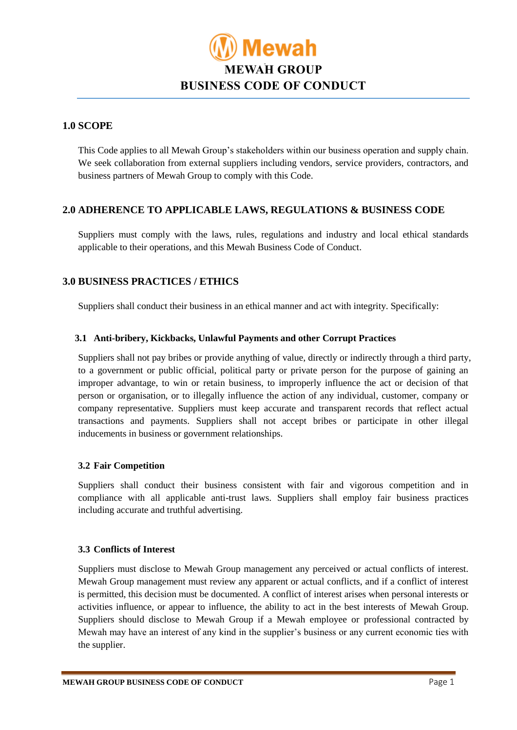

# **1.0 SCOPE**

This Code applies to all Mewah Group's stakeholders within our business operation and supply chain. We seek collaboration from external suppliers including vendors, service providers, contractors, and business partners of Mewah Group to comply with this Code.

# **2.0 ADHERENCE TO APPLICABLE LAWS, REGULATIONS & BUSINESS CODE**

Suppliers must comply with the laws, rules, regulations and industry and local ethical standards applicable to their operations, and this Mewah Business Code of Conduct.

# **3.0 BUSINESS PRACTICES / ETHICS**

Suppliers shall conduct their business in an ethical manner and act with integrity. Specifically:

# **3.1 Anti-bribery, Kickbacks, Unlawful Payments and other Corrupt Practices**

Suppliers shall not pay bribes or provide anything of value, directly or indirectly through a third party, to a government or public official, political party or private person for the purpose of gaining an improper advantage, to win or retain business, to improperly influence the act or decision of that person or organisation, or to illegally influence the action of any individual, customer, company or company representative. Suppliers must keep accurate and transparent records that reflect actual transactions and payments. Suppliers shall not accept bribes or participate in other illegal inducements in business or government relationships.

#### **3.2 Fair Competition**

Suppliers shall conduct their business consistent with fair and vigorous competition and in compliance with all applicable anti-trust laws. Suppliers shall employ fair business practices including accurate and truthful advertising.

#### **3.3 Conflicts of Interest**

Suppliers must disclose to Mewah Group management any perceived or actual conflicts of interest. Mewah Group management must review any apparent or actual conflicts, and if a conflict of interest is permitted, this decision must be documented. A conflict of interest arises when personal interests or activities influence, or appear to influence, the ability to act in the best interests of Mewah Group. Suppliers should disclose to Mewah Group if a Mewah employee or professional contracted by Mewah may have an interest of any kind in the supplier's business or any current economic ties with the supplier.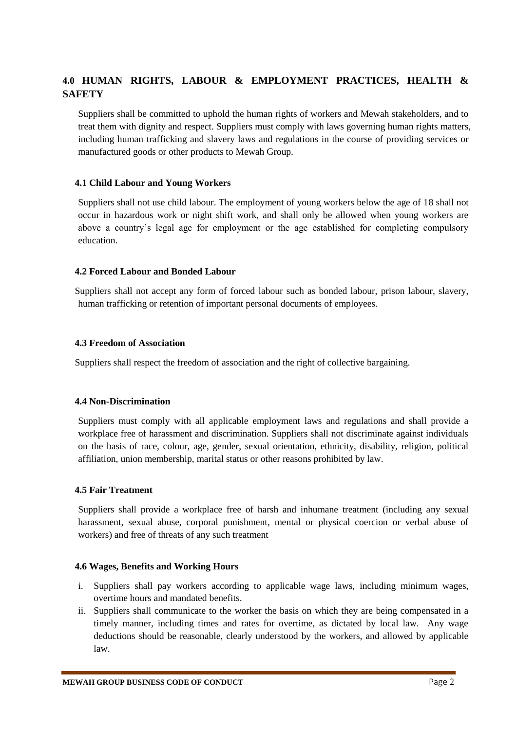# **4.0 HUMAN RIGHTS, LABOUR & EMPLOYMENT PRACTICES, HEALTH & SAFETY**

Suppliers shall be committed to uphold the human rights of workers and Mewah stakeholders, and to treat them with dignity and respect. Suppliers must comply with laws governing human rights matters, including human trafficking and slavery laws and regulations in the course of providing services or manufactured goods or other products to Mewah Group.

# **4.1 Child Labour and Young Workers**

Suppliers shall not use child labour. The employment of young workers below the age of 18 shall not occur in hazardous work or night shift work, and shall only be allowed when young workers are above a country's legal age for employment or the age established for completing compulsory education.

# **4.2 Forced Labour and Bonded Labour**

Suppliers shall not accept any form of forced labour such as bonded labour, prison labour, slavery, human trafficking or retention of important personal documents of employees.

# **4.3 Freedom of Association**

Suppliers shall respect the freedom of association and the right of collective bargaining.

#### **4.4 Non-Discrimination**

Suppliers must comply with all applicable employment laws and regulations and shall provide a workplace free of harassment and discrimination. Suppliers shall not discriminate against individuals on the basis of race, colour, age, gender, sexual orientation, ethnicity, disability, religion, political affiliation, union membership, marital status or other reasons prohibited by law.

## **4.5 Fair Treatment**

Suppliers shall provide a workplace free of harsh and inhumane treatment (including any sexual harassment, sexual abuse, corporal punishment, mental or physical coercion or verbal abuse of workers) and free of threats of any such treatment

#### **4.6 Wages, Benefits and Working Hours**

- i. Suppliers shall pay workers according to applicable wage laws, including minimum wages, overtime hours and mandated benefits.
- ii. Suppliers shall communicate to the worker the basis on which they are being compensated in a timely manner, including times and rates for overtime, as dictated by local law. Any wage deductions should be reasonable, clearly understood by the workers, and allowed by applicable law.